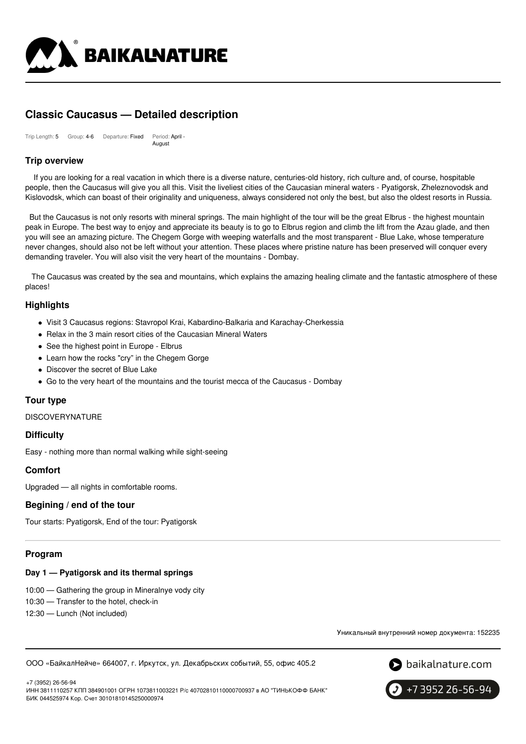

# **Classic Caucasus — Detailed description**

| Trip Length: 5 | Group: 4-6 | Departure: Fixed | Period: April - |
|----------------|------------|------------------|-----------------|
|                |            |                  | August          |

### **Trip overview**

If you are looking for a real vacation in which there is a diverse nature, centuries-old history, rich culture and, of course, hospitable people, then the Caucasus will give you all this. Visit the liveliest cities of the Caucasian mineral waters - Pyatigorsk, Zheleznovodsk and Kislovodsk, which can boast of their originality and uniqueness, always considered not only the best, but also the oldest resorts in Russia.

But the Caucasus is not only resorts with mineral springs. The main highlight of the tour will be the great Elbrus - the highest mountain peak in Europe. The best way to enjoy and appreciate its beauty is to go to Elbrus region and climb the lift from the Azau glade, and then you will see an amazing picture. The Chegem Gorge with weeping waterfalls and the most transparent - Blue Lake, whose temperature never changes, should also not be left without your attention. These places where pristine nature has been preserved will conquer every demanding traveler. You will also visit the very heart of the mountains - Dombay.

The Caucasus was created by the sea and mountains, which explains the amazing healing climate and the fantastic atmosphere of these places!

### **Highlights**

- Visit 3 Caucasus regions: Stavropol Krai, Kabardino-Balkaria and Karachay-Cherkessia
- Relax in the 3 main resort cities of the Caucasian Mineral Waters
- See the highest point in Europe Elbrus
- Learn how the rocks "cry" in the Chegem Gorge
- Discover the secret of Blue Lake
- Go to the very heart of the mountains and the tourist mecca of the Caucasus Dombay

### **Tour type**

**DISCOVERYNATURE** 

### **Difficulty**

Easy - nothing more than normal walking while sight-seeing

### **Comfort**

Upgraded — all nights in comfortable rooms.

### **Begining / end of the tour**

Tour starts: Pyatigorsk, End of the tour: Pyatigorsk

### **Program**

### **Day 1 — Pyatigorsk and its thermal springs**

10:00 — Gathering the group in Mineralnye vody city

10:30 — Transfer to the hotel, check-in

12:30 — Lunch (Not included)

Уникальный внутренний номер документа: 152235

ООО «БайкалНейче» 664007, г. Иркутск, ул. Декабрьских событий, 55, офис 405.2



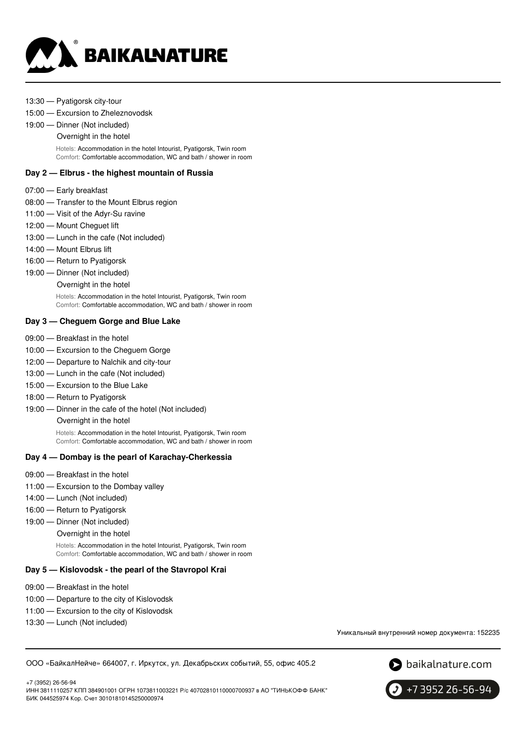

- 13:30 Pyatigorsk city-tour
- 15:00 Excursion to Zheleznovodsk
- 19:00 Dinner (Not included)
	- Overnight in the hotel

Hotels: Accommodation in the hotel Intourist, Pyatigorsk, Twin room Comfort: Comfortable accommodation, WC and bath / shower in room

#### **Day 2 — Elbrus - the highest mountain of Russia**

- 07:00 Early breakfast
- 08:00 Transfer to the Mount Elbrus region
- 11:00 Visit of the Adyr-Su ravine
- 12:00 Mount Cheguet lift
- 13:00 Lunch in the cafe (Not included)
- 14:00 Mount Elbrus lift
- 16:00 Return to Pyatigorsk
- 19:00 Dinner (Not included)
	- Overnight in the hotel

Hotels: Accommodation in the hotel Intourist, Pyatigorsk, Twin room Comfort: Comfortable accommodation, WC and bath / shower in room

#### **Day 3 — Cheguem Gorge and Blue Lake**

- 09:00 Breakfast in the hotel
- 10:00 Excursion to the Cheguem Gorge
- 12:00 Departure to Nalchik and city-tour
- 13:00 Lunch in the cafe (Not included)
- 15:00 Excursion to the Blue Lake
- 18:00 Return to Pyatigorsk
- 19:00 Dinner in the cafe of the hotel (Not included)

Overnight in the hotel

Hotels: Accommodation in the hotel Intourist, Pyatigorsk, Twin room Comfort: Comfortable accommodation, WC and bath / shower in room

#### **Day 4 — Dombay is the pearl of Karachay-Cherkessia**

- 09:00 Breakfast in the hotel
- 11:00 Excursion to the Dombay valley
- 14:00 Lunch (Not included)
- 16:00 Return to Pyatigorsk
- 19:00 Dinner (Not included)
	- Overnight in the hotel

Hotels: Accommodation in the hotel Intourist, Pyatigorsk, Twin room Comfort: Comfortable accommodation, WC and bath / shower in room

#### **Day 5 — Kislovodsk - the pearl of the Stavropol Krai**

- 09:00 Breakfast in the hotel
- 10:00 Departure to the city of Kislovodsk
- 11:00 Excursion to the city of Kislovodsk
- 13:30 Lunch (Not included)

Уникальный внутренний номер документа: 152235

ООО «БайкалНейче» 664007, г. Иркутск, ул. Декабрьских событий, 55, офис 405.2



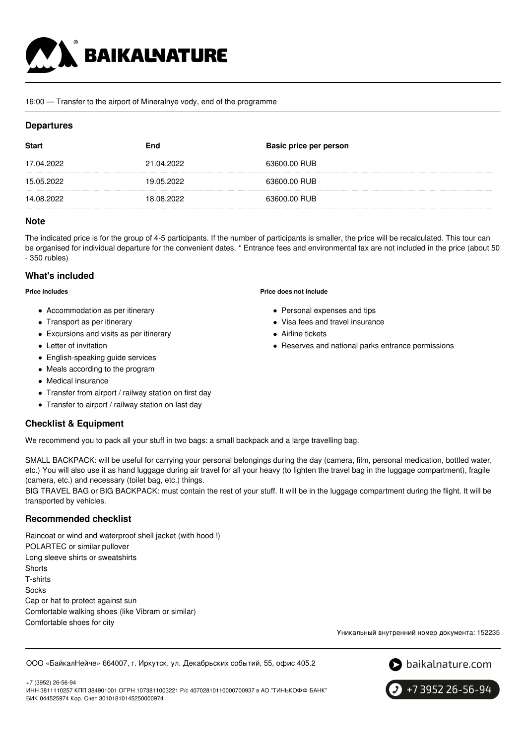

#### 16:00 — Transfer to the airport of Mineralnye vody, end of the programme

### **Departures**

| <b>Start</b> | End        | Basic price per person |
|--------------|------------|------------------------|
| 17.04.2022   | 21.04.2022 | 63600.00 RUB           |
| 15.05.2022   | 19.05.2022 | 63600.00 RUB           |
| 14.08.2022   | 18.08.2022 | 63600.00 RUB           |

#### **Note**

The indicated price is for the group of 4-5 participants. If the number of participants is smaller, the price will be recalculated. This tour can be organised for individual departure for the convenient dates. \* Entrance fees and environmental tax are not included in the price (about 50 - 350 rubles)

### **What's included**

**Price includes**

- Accommodation as per itinerary
- Transport as per itinerary
- Excursions and visits as per itinerary
- Letter of invitation
- English-speaking guide services
- Meals according to the program
- Medical insurance
- Transfer from airport / railway station on first day
- Transfer to airport / railway station on last day

### **Checklist & Equipment**

We recommend you to pack all your stuff in two bags: a small backpack and a large travelling bag.

SMALL BACKPACK: will be useful for carrying your personal belongings during the day (camera, film, personal medication, bottled water, etc.) You will also use it as hand luggage during air travel for all your heavy (to lighten the travel bag in the luggage compartment), fragile (camera, etc.) and necessary (toilet bag, etc.) things.

BIG TRAVEL BAG or BIG BACKPACK: must contain the rest of your stuff. It will be in the luggage compartment during the flight. It will be transported by vehicles.

### **Recommended checklist**

Raincoat or wind and waterproof shell jacket (with hood !) POLARTEC or similar pullover Long sleeve shirts or sweatshirts **Shorts** T-shirts Socks Cap or hat to protect against sun Comfortable walking shoes (like Vibram or similar) Comfortable shoes for city

Уникальный внутренний номер документа: 152235

ООО «БайкалНейче» 664007, г. Иркутск, ул. Декабрьских событий, 55, офис 405.2





+7 (3952) 26-56-94 ИНН 3811110257 КПП 384901001 ОГРН 1073811003221 Р/с 40702810110000700937 в АО "ТИНЬКОФФ БАНК" БИК 044525974 Кор. Счет 30101810145250000974

**Price does not include**

- Personal expenses and tips
- Visa fees and travel insurance
- Airline tickets
- Reserves and national parks entrance permissions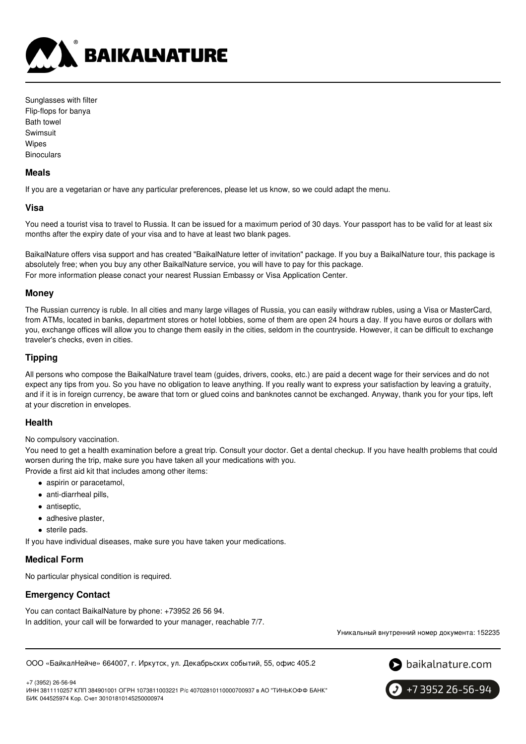

| Sunglasses with filter |  |  |
|------------------------|--|--|
| Flip-flops for banya   |  |  |
| Bath towel             |  |  |
| Swimsuit               |  |  |
| Wipes                  |  |  |
| Binoculars             |  |  |

#### **Meals**

If you are a vegetarian or have any particular preferences, please let us know, so we could adapt the menu.

### **Visa**

You need a tourist visa to travel to Russia. It can be issued for a maximum period of 30 days. Your passport has to be valid for at least six months after the expiry date of your visa and to have at least two blank pages.

BaikalNature offers visa support and has created "BaikalNature letter of invitation" package. If you buy a BaikalNature tour, this package is absolutely free; when you buy any other BaikalNature service, you will have to pay for this package. For more information please conact your nearest Russian Embassy or Visa Application Center.

### **Money**

The Russian currency is ruble. In all cities and many large villages of Russia, you can easily withdraw rubles, using a Visa or MasterCard, from ATMs, located in banks, department stores or hotel lobbies, some of them are open 24 hours a day. If you have euros or dollars with you, exchange offices will allow you to change them easily in the cities, seldom in the countryside. However, it can be difficult to exchange traveler's checks, even in cities.

### **Tipping**

All persons who compose the BaikalNature travel team (guides, drivers, cooks, etc.) are paid a decent wage for their services and do not expect any tips from you. So you have no obligation to leave anything. If you really want to express your satisfaction by leaving a gratuity, and if it is in foreign currency, be aware that torn or glued coins and banknotes cannot be exchanged. Anyway, thank you for your tips, left at your discretion in envelopes.

#### **Health**

No compulsory vaccination.

You need to get a health examination before a great trip. Consult your doctor. Get a dental checkup. If you have health problems that could worsen during the trip, make sure you have taken all your medications with you. Provide a first aid kit that includes among other items:

- aspirin or paracetamol,
- anti-diarrheal pills,
- antiseptic.
- adhesive plaster,
- sterile pads.

If you have individual diseases, make sure you have taken your medications.

#### **Medical Form**

No particular physical condition is required.

### **Emergency Contact**

You can contact BaikalNature by phone: +73952 26 56 94. In addition, your call will be forwarded to your manager, reachable 7/7.

Уникальный внутренний номер документа: 152235

ООО «БайкалНейче» 664007, г. Иркутск, ул. Декабрьских событий, 55, офис 405.2